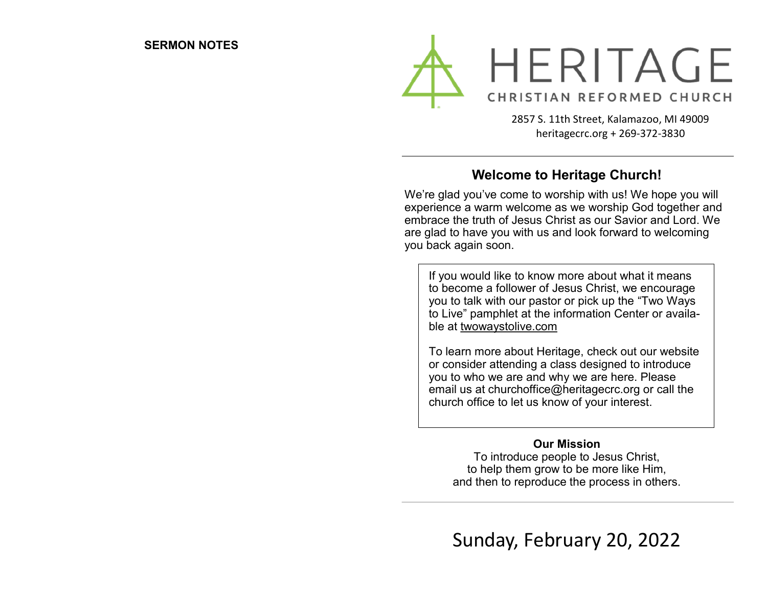

2857 S. 11th Street, Kalamazoo, MI 49009 heritagecrc.org + 269-372-3830

## **Welcome to Heritage Church!**

We're glad you've come to worship with us! We hope you will experience a warm welcome as we worship God together and embrace the truth of Jesus Christ as our Savior and Lord. We are glad to have you with us and look forward to welcoming you back again soon.

If you would like to know more about what it means to become a follower of Jesus Christ, we encourage you to talk with our pastor or pick up the "Two Ways to Live" pamphlet at the information Center or available at twowaystolive.com

To learn more about Heritage, check out our website or consider attending a class designed to introduce you to who we are and why we are here. Please email us at churchoffice@heritagecrc.org or call the church office to let us know of your interest.

#### **Our Mission**

To introduce people to Jesus Christ, to help them grow to be more like Him, and then to reproduce the process in others.

Sunday, February 20, 2022